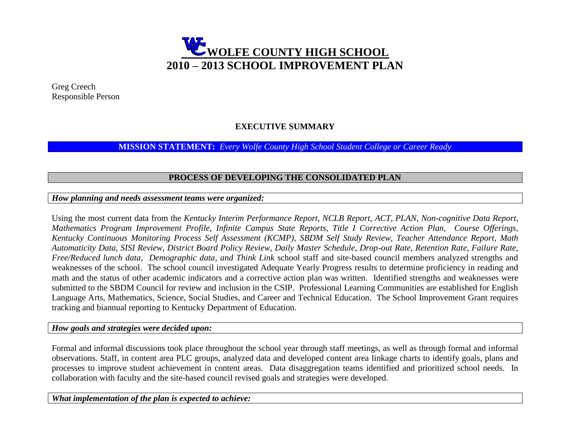

Greg Creech Responsible Person

## **EXECUTIVE SUMMARY**

## **MISSION STATEMENT:** *Every Wolfe County High School Student College or Career Ready*

## **PROCESS OF DEVELOPING THE CONSOLIDATED PLAN**

#### *How planning and needs assessment teams were organized:*

Using the most current data from the *Kentucky Interim Performance Report, NCLB Report, ACT, PLAN, Non-cognitive Data Report, Mathematics Program Improvement Profile, Infinite Campus State Reports, Title I Corrective Action Plan, Course Offerings, Kentucky Continuous Monitoring Process Self Assessment (KCMP), SBDM Self Study Review, Teacher Attendance Report, Math Automaticity Data, SISI Review, District Board Policy Review, Daily Master Schedule, Drop-out Rate, Retention Rate, Failure Rate, Free/Reduced lunch data, Demographic data, and Think Link* school staff and site-based council members analyzed strengths and weaknesses of the school. The school council investigated Adequate Yearly Progress results to determine proficiency in reading and math and the status of other academic indicators and a corrective action plan was written. Identified strengths and weaknesses were submitted to the SBDM Council for review and inclusion in the CSIP. Professional Learning Communities are established for English Language Arts, Mathematics, Science, Social Studies, and Career and Technical Education. The School Improvement Grant requires tracking and biannual reporting to Kentucky Department of Education.

#### *How goals and strategies were decided upon:*

Formal and informal discussions took place throughout the school year through staff meetings, as well as through formal and informal observations. Staff, in content area PLC groups, analyzed data and developed content area linkage charts to identify goals, plans and processes to improve student achievement in content areas. Data disaggregation teams identified and prioritized school needs. In collaboration with faculty and the site-based council revised goals and strategies were developed.

#### *What implementation of the plan is expected to achieve:*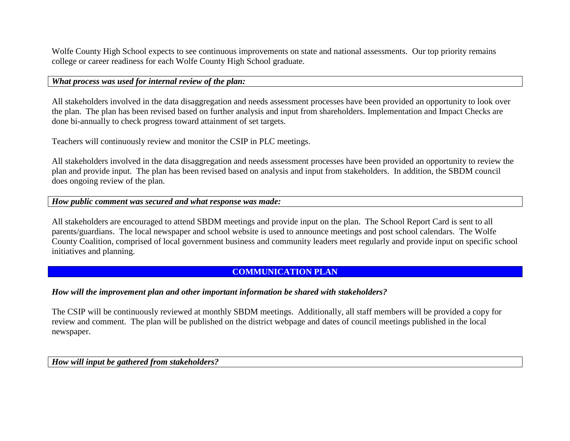Wolfe County High School expects to see continuous improvements on state and national assessments. Our top priority remains college or career readiness for each Wolfe County High School graduate.

#### *What process was used for internal review of the plan:*

All stakeholders involved in the data disaggregation and needs assessment processes have been provided an opportunity to look over the plan. The plan has been revised based on further analysis and input from shareholders. Implementation and Impact Checks are done bi-annually to check progress toward attainment of set targets.

Teachers will continuously review and monitor the CSIP in PLC meetings.

All stakeholders involved in the data disaggregation and needs assessment processes have been provided an opportunity to review the plan and provide input. The plan has been revised based on analysis and input from stakeholders. In addition, the SBDM council does ongoing review of the plan.

#### *How public comment was secured and what response was made:*

All stakeholders are encouraged to attend SBDM meetings and provide input on the plan. The School Report Card is sent to all parents/guardians. The local newspaper and school website is used to announce meetings and post school calendars. The Wolfe County Coalition, comprised of local government business and community leaders meet regularly and provide input on specific school initiatives and planning.

### **COMMUNICATION PLAN**

#### *How will the improvement plan and other important information be shared with stakeholders?*

The CSIP will be continuously reviewed at monthly SBDM meetings. Additionally, all staff members will be provided a copy for review and comment. The plan will be published on the district webpage and dates of council meetings published in the local newspaper.

*How will input be gathered from stakeholders?*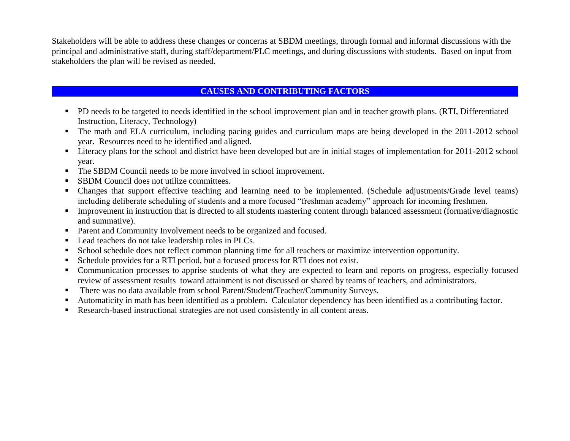Stakeholders will be able to address these changes or concerns at SBDM meetings, through formal and informal discussions with the principal and administrative staff, during staff/department/PLC meetings, and during discussions with students. Based on input from stakeholders the plan will be revised as needed.

## **CAUSES AND CONTRIBUTING FACTORS**

- **PD** needs to be targeted to needs identified in the school improvement plan and in teacher growth plans. (RTI, Differentiated Instruction, Literacy, Technology)
- The math and ELA curriculum, including pacing guides and curriculum maps are being developed in the 2011-2012 school year. Resources need to be identified and aligned.
- Literacy plans for the school and district have been developed but are in initial stages of implementation for 2011-2012 school year.
- The SBDM Council needs to be more involved in school improvement.
- SBDM Council does not utilize committees.
- Changes that support effective teaching and learning need to be implemented. (Schedule adjustments/Grade level teams) including deliberate scheduling of students and a more focused "freshman academy" approach for incoming freshmen.
- Improvement in instruction that is directed to all students mastering content through balanced assessment (formative/diagnostic and summative).
- Parent and Community Involvement needs to be organized and focused.
- Lead teachers do not take leadership roles in PLCs.
- **School schedule does not reflect common planning time for all teachers or maximize intervention opportunity.**
- Schedule provides for a RTI period, but a focused process for RTI does not exist.
- Communication processes to apprise students of what they are expected to learn and reports on progress, especially focused review of assessment results toward attainment is not discussed or shared by teams of teachers, and administrators.
- There was no data available from school Parent/Student/Teacher/Community Surveys.
- Automaticity in math has been identified as a problem. Calculator dependency has been identified as a contributing factor.
- Research-based instructional strategies are not used consistently in all content areas.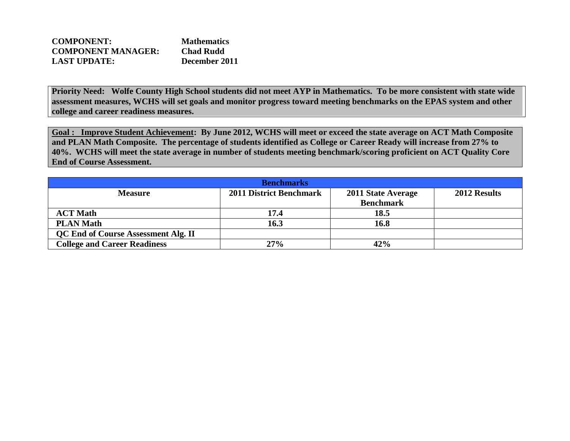| <b>COMPONENT:</b>         | <b>Mathematics</b> |
|---------------------------|--------------------|
| <b>COMPONENT MANAGER:</b> | <b>Chad Rudd</b>   |
| <b>LAST UPDATE:</b>       | December 2011      |

**Priority Need: Wolfe County High School students did not meet AYP in Mathematics. To be more consistent with state wide assessment measures, WCHS will set goals and monitor progress toward meeting benchmarks on the EPAS system and other college and career readiness measures.** 

**Goal : Improve Student Achievement: By June 2012, WCHS will meet or exceed the state average on ACT Math Composite and PLAN Math Composite. The percentage of students identified as College or Career Ready will increase from 27% to 40%. WCHS will meet the state average in number of students meeting benchmark/scoring proficient on ACT Quality Core End of Course Assessment.**

| <b>Benchmarks</b>                          |                                |                                        |              |  |  |  |  |  |
|--------------------------------------------|--------------------------------|----------------------------------------|--------------|--|--|--|--|--|
| <b>Measure</b>                             | <b>2011 District Benchmark</b> | 2011 State Average<br><b>Benchmark</b> | 2012 Results |  |  |  |  |  |
| <b>ACT Math</b>                            | 17.4                           | 18.5                                   |              |  |  |  |  |  |
| <b>PLAN Math</b>                           | 16.3                           | 16.8                                   |              |  |  |  |  |  |
| <b>QC End of Course Assessment Alg. II</b> |                                |                                        |              |  |  |  |  |  |
| <b>College and Career Readiness</b>        | 27%                            | 42%                                    |              |  |  |  |  |  |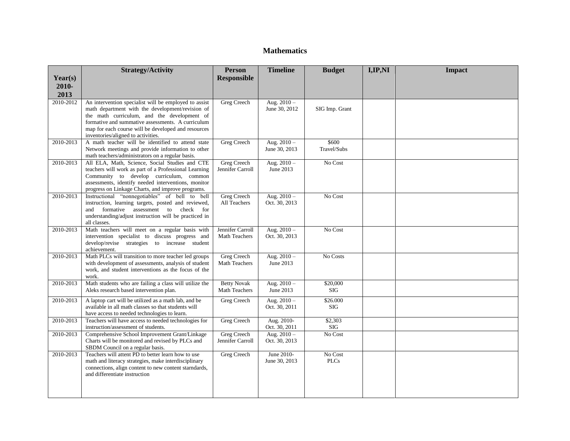#### **Mathematics**

|                   | <b>Strategy/Activity</b>                                                                                      | Person                                     | <b>Timeline</b>                | <b>Budget</b>          | I, IP, NI | <b>Impact</b> |
|-------------------|---------------------------------------------------------------------------------------------------------------|--------------------------------------------|--------------------------------|------------------------|-----------|---------------|
| Year(s)           |                                                                                                               | <b>Responsible</b>                         |                                |                        |           |               |
| 2010-             |                                                                                                               |                                            |                                |                        |           |               |
| 2013<br>2010-2012 | An intervention specialist will be employed to assist                                                         | Greg Creech                                | Aug. $2010 -$                  |                        |           |               |
|                   | math department with the development/revision of                                                              |                                            | June 30, 2012                  | SIG Imp. Grant         |           |               |
|                   | the math curriculum, and the development of<br>formative and summative assessments. A curriculum              |                                            |                                |                        |           |               |
|                   | map for each course will be developed and resources                                                           |                                            |                                |                        |           |               |
|                   | inventories/aligned to activities.                                                                            |                                            |                                |                        |           |               |
| 2010-2013         | A math teacher will be identified to attend state<br>Network meetings and provide information to other        | <b>Greg Creech</b>                         | Aug. $2010 -$<br>June 30, 2013 | \$600<br>Travel/Subs   |           |               |
|                   | math teachers/administrators on a regular basis.                                                              |                                            |                                |                        |           |               |
| 2010-2013         | All ELA, Math, Science, Social Studies and CTE<br>teachers will work as part of a Professional Learning       | <b>Greg Creech</b><br>Jennifer Carroll     | Aug. $2010 -$<br>June 2013     | No Cost                |           |               |
|                   | Community to develop curriculum, common                                                                       |                                            |                                |                        |           |               |
|                   | assessments, identify needed interventions, monitor                                                           |                                            |                                |                        |           |               |
| 2010-2013         | progress on Linkage Charts, and improve programs.<br>Instructional "nonnegotiables" of bell to bell           | Greg Creech                                | Aug. $2010 -$                  | No Cost                |           |               |
|                   | instruction, learning targets, posted and reviewed,                                                           | All Teachers                               | Oct. 30, 2013                  |                        |           |               |
|                   | and formative assessment to check for<br>understanding/adjust instruction will be practiced in                |                                            |                                |                        |           |               |
|                   | all classes.                                                                                                  |                                            |                                |                        |           |               |
| 2010-2013         | Math teachers will meet on a regular basis with                                                               | Jennifer Carroll                           | Aug. $2010 -$                  | No Cost                |           |               |
|                   | intervention specialist to discuss progress and<br>develop/revise strategies to increase student              | Math Teachers                              | Oct. 30, 2013                  |                        |           |               |
|                   | achievement.                                                                                                  |                                            |                                |                        |           |               |
| 2010-2013         | Math PLCs will transition to more teacher led groups<br>with development of assessments, analysis of student  | <b>Greg Creech</b><br><b>Math Teachers</b> | Aug. $2010 -$<br>June 2013     | No Costs               |           |               |
|                   | work, and student interventions as the focus of the                                                           |                                            |                                |                        |           |               |
|                   | work.                                                                                                         |                                            |                                |                        |           |               |
| 2010-2013         | Math students who are failing a class will utilize the<br>Aleks research based intervention plan.             | <b>Betty Novak</b><br>Math Teachers        | Aug. $2010 -$<br>June 2013     | \$20,000<br><b>SIG</b> |           |               |
| 2010-2013         | A laptop cart will be utilized as a math lab, and be                                                          | Greg Creech                                | Aug. $2010 -$                  | \$26.000               |           |               |
|                   | available in all math classes so that students will                                                           |                                            | Oct. 30, 2011                  | SIG                    |           |               |
| 2010-2013         | have access to needed technologies to learn.<br>Teachers will have access to needed technologies for          | <b>Greg Creech</b>                         | Aug. 2010-                     | \$2,303                |           |               |
|                   | instruction/assessment of students.                                                                           |                                            | Oct. 30, 2011                  | SIG                    |           |               |
| 2010-2013         | Comprehensive School Improvement Grant/Linkage                                                                | Greg Creech                                | Aug. $2010 -$                  | No Cost                |           |               |
|                   | Charts will be monitored and revised by PLCs and<br>SBDM Council on a regular basis.                          | Jennifer Carroll                           | Oct. 30, 2013                  |                        |           |               |
| 2010-2013         | Teachers will attent PD to better learn how to use                                                            | <b>Greg Creech</b>                         | June 2010-                     | No Cost                |           |               |
|                   | math and literacy strategies, make interdisciplinary<br>connections, align content to new content starndards, |                                            | June 30, 2013                  | <b>PLCs</b>            |           |               |
|                   | and differentiate instruction                                                                                 |                                            |                                |                        |           |               |
|                   |                                                                                                               |                                            |                                |                        |           |               |
|                   |                                                                                                               |                                            |                                |                        |           |               |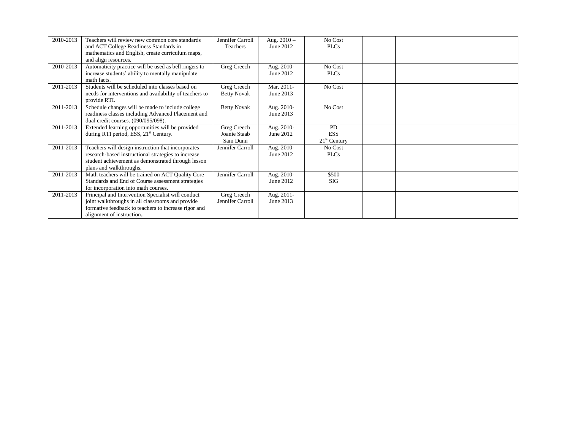| 2010-2013 | Teachers will review new common core standards                   | Jennifer Carroll   | Aug. $2010 -$ | No Cost        |  |
|-----------|------------------------------------------------------------------|--------------------|---------------|----------------|--|
|           | and ACT College Readiness Standards in                           | Teachers           | June 2012     | <b>PLCs</b>    |  |
|           | mathematics and English, create curriculum maps,                 |                    |               |                |  |
|           | and align resources.                                             |                    |               |                |  |
| 2010-2013 | Automaticity practice will be used as bell ringers to            | Greg Creech        | Aug. 2010-    | No Cost        |  |
|           | increase students' ability to mentally manipulate<br>math facts. |                    | June 2012     | <b>PLCs</b>    |  |
| 2011-2013 | Students will be scheduled into classes based on                 | Greg Creech        | Mar. 2011-    | No Cost        |  |
|           | needs for interventions and availability of teachers to          | <b>Betty Novak</b> | June 2013     |                |  |
|           | provide RTI.                                                     |                    |               |                |  |
| 2011-2013 | Schedule changes will be made to include college                 | <b>Betty Novak</b> | Aug. 2010-    | No Cost        |  |
|           | readiness classes including Advanced Placement and               |                    | June 2013     |                |  |
|           | dual credit courses. (090/095/098).                              |                    |               |                |  |
| 2011-2013 | Extended learning opportunities will be provided                 | Greg Creech        | Aug. 2010-    | <b>PD</b>      |  |
|           | during RTI period, ESS, 21 <sup>st</sup> Century.                | Joanie Staab       | June 2012     | <b>ESS</b>     |  |
|           |                                                                  | Sam Dunn           |               | $21st$ Century |  |
| 2011-2013 | Teachers will design instruction that incorporates               | Jennifer Carroll   | Aug. 2010-    | No Cost        |  |
|           | research-based instructional strategies to increase              |                    | June 2012     | <b>PLCs</b>    |  |
|           | student achievement as demonstrated through lesson               |                    |               |                |  |
|           | plans and walkthroughs.                                          |                    |               |                |  |
| 2011-2013 | Math teachers will be trained on ACT Quality Core                | Jennifer Carroll   | Aug. 2010-    | \$500          |  |
|           | Standards and End of Course assessment strategies                |                    | June 2012     | SIG            |  |
|           | for incorporation into math courses.                             |                    |               |                |  |
| 2011-2013 | Principal and Intervention Specialist will conduct               | Greg Creech        | Aug. 2011-    |                |  |
|           | joint walkthroughs in all classrooms and provide                 | Jennifer Carroll   | June 2013     |                |  |
|           | formative feedback to teachers to increase rigor and             |                    |               |                |  |
|           | alignment of instruction                                         |                    |               |                |  |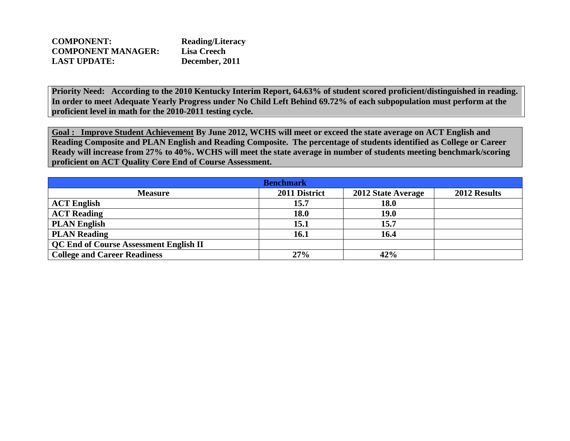| <b>COMPONENT:</b>         | <b>Reading/Literacy</b> |
|---------------------------|-------------------------|
| <b>COMPONENT MANAGER:</b> | Lisa Creech             |
| <b>LAST UPDATE:</b>       | December, 2011          |

**Priority Need: According to the 2010 Kentucky Interim Report, 64.63% of student scored proficient/distinguished in reading. In order to meet Adequate Yearly Progress under No Child Left Behind 69.72% of each subpopulation must perform at the proficient level in math for the 2010-2011 testing cycle.**

**Goal : Improve Student Achievement By June 2012, WCHS will meet or exceed the state average on ACT English and Reading Composite and PLAN English and Reading Composite. The percentage of students identified as College or Career Ready will increase from 27% to 40%. WCHS will meet the state average in number of students meeting benchmark/scoring proficient on ACT Quality Core End of Course Assessment.**

|                                               | <b>Benchmark</b> |                    |              |
|-----------------------------------------------|------------------|--------------------|--------------|
| <b>Measure</b>                                | 2011 District    | 2012 State Average | 2012 Results |
| <b>ACT English</b>                            | 15.7             | <b>18.0</b>        |              |
| <b>ACT Reading</b>                            | 18.0             | <b>19.0</b>        |              |
| <b>PLAN English</b>                           | 15.1             | 15.7               |              |
| <b>PLAN Reading</b>                           | 16.1             | 16.4               |              |
| <b>QC End of Course Assessment English II</b> |                  |                    |              |
| <b>College and Career Readiness</b>           | 27%              | 42%                |              |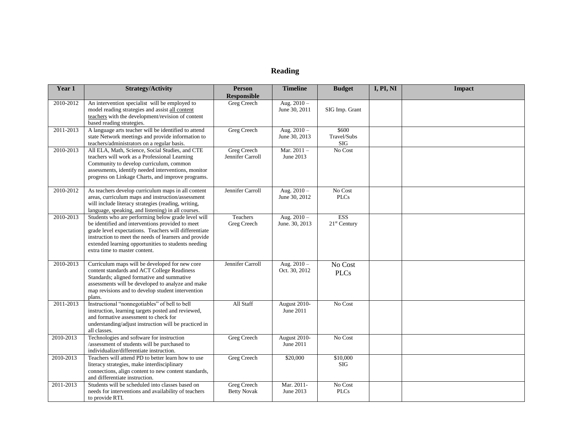# **Reading**

| Year 1    | <b>Strategy/Activity</b>                                                                                                                                                                                                                                                                                         | <b>Person</b><br><b>Responsible</b>    | <b>Timeline</b>                 | <b>Budget</b>                      | I, PI, NI | Impact |
|-----------|------------------------------------------------------------------------------------------------------------------------------------------------------------------------------------------------------------------------------------------------------------------------------------------------------------------|----------------------------------------|---------------------------------|------------------------------------|-----------|--------|
| 2010-2012 | An intervention specialist will be employed to<br>model reading strategies and assist all content<br>teachers with the development/revision of content<br>based reading strategies.                                                                                                                              | Greg Creech                            | Aug. $2010 -$<br>June 30, 2011  | SIG Imp. Grant                     |           |        |
| 2011-2013 | A language arts teacher will be identified to attend<br>state Network meetings and provide information to<br>teachers/administrators on a regular basis.                                                                                                                                                         | <b>Greg Creech</b>                     | Aug. $2010 -$<br>June 30, 2013  | \$600<br>Travel/Subs<br><b>SIG</b> |           |        |
| 2010-2013 | All ELA, Math, Science, Social Studies, and CTE<br>teachers will work as a Professional Learning<br>Community to develop curriculum, common<br>assessments, identify needed interventions, monitor<br>progress on Linkage Charts, and improve programs.                                                          | <b>Greg Creech</b><br>Jennifer Carroll | Mar. $2011 -$<br>June 2013      | No Cost                            |           |        |
| 2010-2012 | As teachers develop curriculum maps in all content<br>areas, curriculum maps and instruction/assessment<br>will include literacy strategies (reading, writing,<br>language, speaking, and listening) in all courses.                                                                                             | Jennifer Carroll                       | Aug. $2010 -$<br>June 30, 2012  | No Cost<br><b>PLCs</b>             |           |        |
| 2010-2013 | Students who are performing below grade level will<br>be identified and interventions provided to meet<br>grade level expectations. Teachers will differentiate<br>instruction to meet the needs of learners and provide<br>extended learning opportunities to students needing<br>extra time to master content. | Teachers<br>Greg Creech                | Aug. $2010 -$<br>June. 30, 2013 | <b>ESS</b><br>$21st$ Century       |           |        |
| 2010-2013 | Curriculum maps will be developed for new core<br>content standards and ACT College Readiness<br>Standards; aligned formative and summative<br>assessments will be developed to analyze and make<br>map revisions and to develop student intervention<br>plans.                                                  | Jennifer Carroll                       | Aug. $2010 -$<br>Oct. 30, 2012  | No Cost<br><b>PLCs</b>             |           |        |
| 2011-2013 | Instructional "nonnegotiables" of bell to bell<br>instruction, learning targets posted and reviewed,<br>and formative assessment to check for<br>understanding/adjust instruction will be practiced in<br>all classes.                                                                                           | All Staff                              | August 2010-<br>June 2011       | No Cost                            |           |        |
| 2010-2013 | Technologies and software for instruction<br>/assessment of students will be purchased to<br>individualize/differentiate instruction.                                                                                                                                                                            | <b>Greg Creech</b>                     | August 2010-<br>June 2011       | No Cost                            |           |        |
| 2010-2013 | Teachers will attend PD to better learn how to use<br>literacy strategies, make interdisciplinary<br>connections, align content to new content standards,<br>and differentiate instruction.                                                                                                                      | <b>Greg Creech</b>                     | \$20,000                        | \$10,000<br><b>SIG</b>             |           |        |
| 2011-2013 | Students will be scheduled into classes based on<br>needs for interventions and availability of teachers<br>to provide RTI.                                                                                                                                                                                      | Greg Creech<br><b>Betty Novak</b>      | Mar. 2011-<br>June 2013         | No Cost<br>PLCs                    |           |        |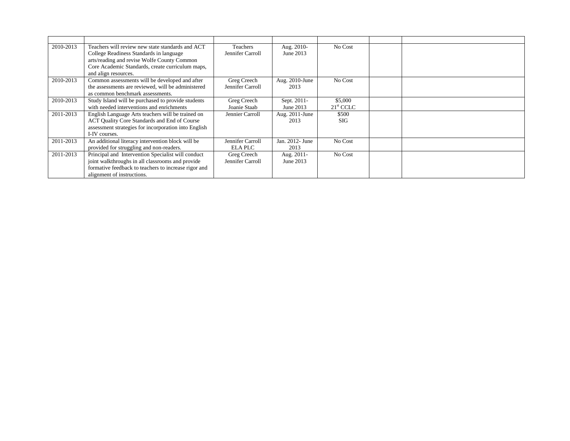| 2010-2013 | Teachers will review new state standards and ACT<br>College Readiness Standards in language<br>arts/reading and revise Wolfe County Common<br>Core Academic Standards, create curriculum maps,<br>and align resources. | Teachers<br>Jennifer Carroll       | Aug. 2010-<br>June 2013   | No Cost                       |  |
|-----------|------------------------------------------------------------------------------------------------------------------------------------------------------------------------------------------------------------------------|------------------------------------|---------------------------|-------------------------------|--|
| 2010-2013 | Common assessments will be developed and after<br>the assessments are reviewed, will be administered<br>as common benchmark assessments.                                                                               | Greg Creech<br>Jennifer Carroll    | Aug. 2010-June<br>2013    | No Cost                       |  |
| 2010-2013 | Study Island will be purchased to provide students<br>with needed interventions and enrichments                                                                                                                        | Greg Creech<br>Joanie Staab        | Sept. 2011-<br>June 2013  | \$5,000<br>$21^{\rm st}$ CCLC |  |
| 2011-2013 | English Language Arts teachers will be trained on<br>ACT Quality Core Standards and End of Course<br>assessment strategies for incorporation into English<br>I-IV courses.                                             | Jennier Carroll                    | Aug. $2011$ -June<br>2013 | \$500<br><b>SIG</b>           |  |
| 2011-2013 | An additional literacy intervention block will be<br>provided for struggling and non-readers.                                                                                                                          | Jennifer Carroll<br><b>ELA PLC</b> | Jan. 2012- June<br>2013   | No Cost                       |  |
| 2011-2013 | Principal and Intervention Specialist will conduct<br>joint walkthroughs in all classrooms and provide<br>formative feedback to teachers to increase rigor and<br>alignment of instructions.                           | Greg Creech<br>Jennifer Carroll    | Aug. 2011-<br>June 2013   | No Cost                       |  |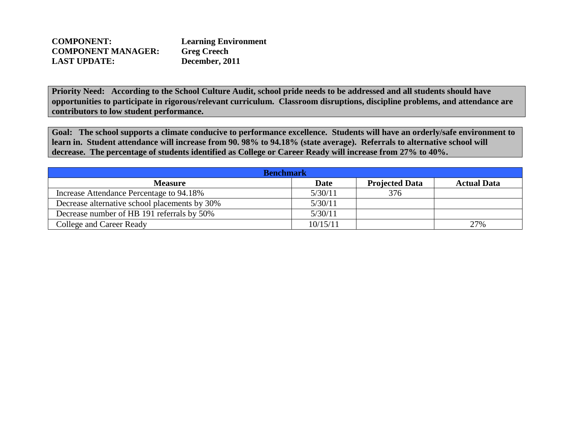| <b>COMPONENT:</b>         | <b>Learning Environment</b> |
|---------------------------|-----------------------------|
| <b>COMPONENT MANAGER:</b> | <b>Greg Creech</b>          |
| <b>LAST UPDATE:</b>       | December, 2011              |

**Priority Need: According to the School Culture Audit, school pride needs to be addressed and all students should have opportunities to participate in rigorous/relevant curriculum. Classroom disruptions, discipline problems, and attendance are contributors to low student performance.**

**Goal: The school supports a climate conducive to performance excellence. Students will have an orderly/safe environment to learn in. Student attendance will increase from 90. 98% to 94.18% (state average). Referrals to alternative school will decrease. The percentage of students identified as College or Career Ready will increase from 27% to 40%.**

| <b>Benchmark</b>                              |             |                       |                    |  |  |  |  |
|-----------------------------------------------|-------------|-----------------------|--------------------|--|--|--|--|
| <b>Measure</b>                                | <b>Date</b> | <b>Projected Data</b> | <b>Actual Data</b> |  |  |  |  |
| Increase Attendance Percentage to 94.18%      | 5/30/11     | 376                   |                    |  |  |  |  |
| Decrease alternative school placements by 30% | 5/30/11     |                       |                    |  |  |  |  |
| Decrease number of HB 191 referrals by 50%    | 5/30/11     |                       |                    |  |  |  |  |
| College and Career Ready                      | 10/15/11    |                       | 27%                |  |  |  |  |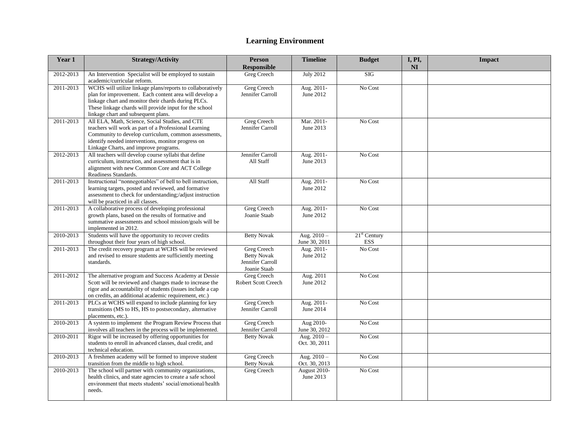# **Learning Environment**

| Year 1    | <b>Strategy/Activity</b>                                                                                                                                                                                                                                                     | Person<br><b>Responsible</b>                                                 | <b>Timeline</b>                | <b>Budget</b>                          | I, PI,<br>N <sub>I</sub> | <b>Impact</b> |
|-----------|------------------------------------------------------------------------------------------------------------------------------------------------------------------------------------------------------------------------------------------------------------------------------|------------------------------------------------------------------------------|--------------------------------|----------------------------------------|--------------------------|---------------|
| 2012-2013 | An Intervention Specialist will be employed to sustain<br>academic/curricular reform.                                                                                                                                                                                        | Greg Creech                                                                  | <b>July 2012</b>               | SIG                                    |                          |               |
| 2011-2013 | WCHS will utilize linkage plans/reports to collaboratively<br>plan for improvement. Each content area will develop a<br>linkage chart and monitor their chards during PLCs.<br>These linkage chards will provide input for the school<br>linkage chart and subsequent plans. | Greg Creech<br>Jennifer Carroll                                              | Aug. 2011-<br>June 2012        | No Cost                                |                          |               |
| 2011-2013 | All ELA, Math, Science, Social Studies, and CTE<br>teachers will work as part of a Professional Learning<br>Community to develop curriculum, common assessments,<br>identify needed interventions, monitor progress on<br>Linkage Charts, and improve programs.              | <b>Greg Creech</b><br>Jennifer Carroll                                       | Mar. 2011-<br>June 2013        | No Cost                                |                          |               |
| 2012-2013 | All teachers will develop course syllabi that define<br>curriculum, instruction, and assessment that is in<br>alignment with new Common Core and ACT College<br>Readiness Standards.                                                                                         | Jennifer Carroll<br>All Staff                                                | Aug. 2011-<br>June 2013        | No Cost                                |                          |               |
| 2011-2013 | Instructional "nonnegotiables" of bell to bell instruction,<br>learning targets, posted and reviewed, and formative<br>assessment to check for understanding;/adjust instruction<br>will be practiced in all classes.                                                        | All Staff                                                                    | Aug. 2011-<br>June 2012        | No Cost                                |                          |               |
| 2011-2013 | A collaborative process of developing professional<br>growth plans, based on the results of formative and<br>summative assessments and school mission/goals will be<br>implemented in 2012.                                                                                  | Greg Creech<br>Joanie Staab                                                  | Aug. 2011-<br>June 2012        | No Cost                                |                          |               |
| 2010-2013 | Students will have the opportunity to recover credits<br>throughout their four years of high school.                                                                                                                                                                         | <b>Betty Novak</b>                                                           | Aug. $2010 -$<br>June 30, 2011 | 21 <sup>st</sup> Century<br><b>ESS</b> |                          |               |
| 2011-2013 | The credit recovery program at WCHS will be reviewed<br>and revised to ensure students are sufficiently meeting<br>standards.                                                                                                                                                | <b>Greg Creech</b><br><b>Betty Novak</b><br>Jennifer Carroll<br>Joanie Staab | Aug. 2011-<br>June 2012        | No Cost                                |                          |               |
| 2011-2012 | The alternative program and Success Academy at Dessie<br>Scott will be reviewed and changes made to increase the<br>rigor and accountability of students (issues include a cap<br>on credits, an additional academic requirement, etc.)                                      | Greg Creech<br><b>Robert Scott Creech</b>                                    | Aug. 2011<br>June 2012         | No Cost                                |                          |               |
| 2011-2013 | PLCs at WCHS will expand to include planning for key<br>transitions (MS to HS, HS to postsecondary, alternative<br>placements, etc.).                                                                                                                                        | <b>Greg Creech</b><br>Jennifer Carroll                                       | Aug. 2011-<br>June 2014        | No Cost                                |                          |               |
| 2010-2013 | A system to implement the Program Review Process that<br>involves all teachers in the process will be implemented.                                                                                                                                                           | Greg Creech<br>Jennifer Carroll                                              | Aug 2010-<br>June 30, 2012     | No Cost                                |                          |               |
| 2010-2011 | Rigor will be increased by offering opportunities for<br>students to enroll in advanced classes, dual credit, and<br>technical education.                                                                                                                                    | <b>Betty Novak</b>                                                           | Aug. $2010 -$<br>Oct. 30, 2011 | No Cost                                |                          |               |
| 2010-2013 | A freshmen academy will be formed to improve student<br>transition from the middle to high school.                                                                                                                                                                           | Greg Creech<br><b>Betty Novak</b>                                            | Aug. $2010 -$<br>Oct. 30, 2013 | No Cost                                |                          |               |
| 2010-2013 | The school will partner with community organizations,<br>health clinics, and state agencies to create a safe school<br>environment that meets students' social/emotional/health<br>needs.                                                                                    | Greg Creech                                                                  | August 2010-<br>June 2013      | No Cost                                |                          |               |